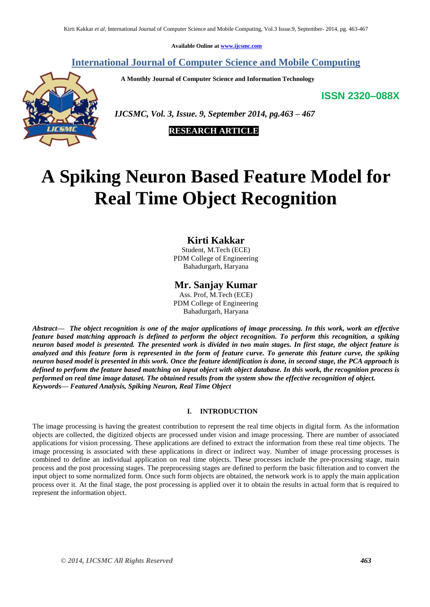**Available Online at [www.ijcsmc.com](http://www.ijcsmc.com/)**

# **International Journal of Computer Science and Mobile Computing**

 **A Monthly Journal of Computer Science and Information Technology**

**ISSN 2320–088X**



 *IJCSMC, Vol. 3, Issue. 9, September 2014, pg.463 – 467*



# **A Spiking Neuron Based Feature Model for Real Time Object Recognition**

# **Kirti Kakkar**

Student, M.Tech (ECE) PDM College of Engineering Bahadurgarh, Haryana

# **Mr. Sanjay Kumar**

Ass. Prof, M.Tech (ECE) PDM College of Engineering Bahadurgarh, Haryana

*Abstract— The object recognition is one of the major applications of image processing. In this work, work an effective feature based matching approach is defined to perform the object recognition. To perform this recognition, a spiking neuron based model is presented. The presented work is divided in two main stages. In first stage, the object feature is analyzed and this feature form is represented in the form of feature curve. To generate this feature curve, the spiking neuron based model is presented in this work. Once the feature identification is done, in second stage, the PCA approach is defined to perform the feature based matching on input object with object database. In this work, the recognition process is performed on real time image dataset. The obtained results from the system show the effective recognition of object. Keywords— Featured Analysis, Spiking Neuron, Real Time Object*

## **I. INTRODUCTION**

The image processing is having the greatest contribution to represent the real time objects in digital form. As the information objects are collected, the digitized objects are processed under vision and image processing. There are number of associated applications for vision processing. These applications are defined to extract the information from these real time objects. The image processing is associated with these applications in direct or indirect way. Number of image processing processes is combined to define an individual application on real time objects. These processes include the pre-processing stage, main process and the post processing stages. The preprocessing stages are defined to perform the basic filteration and to convert the input object to some normalized form. Once such form objects are obtained, the network work is to apply the main application process over it. At the final stage, the post processing is applied over it to obtain the results in actual form that is required to represent the information object.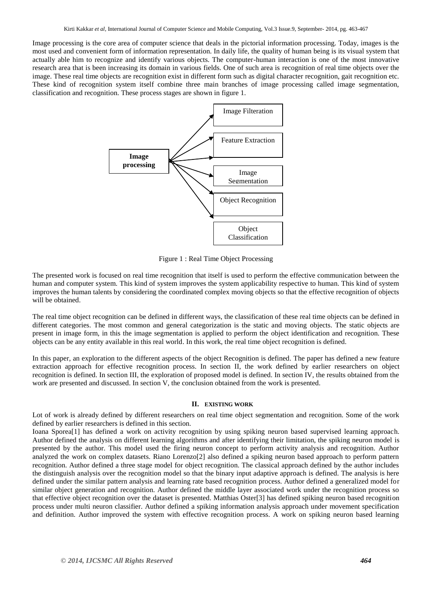Image processing is the core area of computer science that deals in the pictorial information processing. Today, images is the most used and convenient form of information representation. In daily life, the quality of human being is its visual system that actually able him to recognize and identify various objects. The computer-human interaction is one of the most innovative research area that is been increasing its domain in various fields. One of such area is recognition of real time objects over the image. These real time objects are recognition exist in different form such as digital character recognition, gait recognition etc. These kind of recognition system itself combine three main branches of image processing called image segmentation, classification and recognition. These process stages are shown in figure 1.



Figure 1 : Real Time Object Processing

The presented work is focused on real time recognition that itself is used to perform the effective communication between the human and computer system. This kind of system improves the system applicability respective to human. This kind of system improves the human talents by considering the coordinated complex moving objects so that the effective recognition of objects will be obtained.

The real time object recognition can be defined in different ways, the classification of these real time objects can be defined in different categories. The most common and general categorization is the static and moving objects. The static objects are present in image form, in this the image segmentation is applied to perform the object identification and recognition. These objects can be any entity available in this real world. In this work, the real time object recognition is defined.

In this paper, an exploration to the different aspects of the object Recognition is defined. The paper has defined a new feature extraction approach for effective recognition process. In section II, the work defined by earlier researchers on object recognition is defined. In section III, the exploration of proposed model is defined. In section IV, the results obtained from the work are presented and discussed. In section V, the conclusion obtained from the work is presented.

#### **II. EXISTING WORK**

Lot of work is already defined by different researchers on real time object segmentation and recognition. Some of the work defined by earlier researchers is defined in this section.

Ioana Sporea[1] has defined a work on activity recognition by using spiking neuron based supervised learning approach. Author defined the analysis on different learning algorithms and after identifying their limitation, the spiking neuron model is presented by the author. This model used the firing neuron concept to perform activity analysis and recognition. Author analyzed the work on complex datasets. Riano Lorenzo[2] also defined a spiking neuron based approach to perform pattern recognition. Author defined a three stage model for object recognition. The classical approach defined by the author includes the distinguish analysis over the recognition model so that the binary input adaptive approach is defined. The analysis is here defined under the similar pattern analysis and learning rate based recognition process. Author defined a generalized model for similar object generation and recognition. Author defined the middle layer associated work under the recognition process so that effective object recognition over the dataset is presented. Matthias Oster[3] has defined spiking neuron based recognition process under multi neuron classifier. Author defined a spiking information analysis approach under movement specification and definition. Author improved the system with effective recognition process. A work on spiking neuron based learning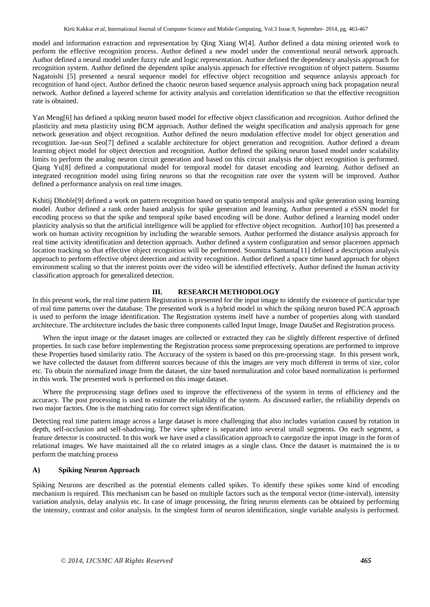model and information extraction and representation by Qing Xiang W[4]. Author defined a data mining oriented work to perform the effective recognition process. Author defined a new model under the conventional neural network approach. Author defined a neural model under fuzzy rule and logic representation. Author defined the dependency analysis approach for recognition system. Author defined the dependent spike analysis approach for effective recognition of object pattern. Susumu Nagatoishi [5] presented a neural sequence model for effective object recognition and sequence anlaysis approach for recognition of hand oject. Author defined the chaotic neuron based sequence analysis approach using back propagation neural network. Author defined a layered scheme for activity analysis and correlation identification so that the effective recognition rate is obtained.

Yan Meng[6] has defined a spiking neuron based model for effective object classification and recognition. Author defined the plasticity and meta plasticity using BCM approach. Author defined the weight specification and analysis approach for gene network generation and object recognition. Author defined the neuro modulation effective model for object generation and recognition. Jae-sun Seo[7] defined a scalable architecture for object generation and recognition. Author defined a dream learning object model for object detection and recognition. Author defined the spiking neuron based model under scalability limits to perform the analog neuron circuit generation and based on this circuit analysis the object recognition is performed. Qiang Yu[8] defined a computational model for temporal model for dataset encoding and learning. Author defined an integrated recognition model using firing neurons so that the recognition rate over the system will be improved. Author defined a performance analysis on real time images.

Kshitij Dhoble[9] defined a work on pattern recognition based on spatio temporal analysis and spike generation using learning model. Author defined a rank order based analysis for spike generation and learning. Author presented a eSSN model for encoding process so that the spike and temporal spike based encoding will be done. Author defined a learning model under plasticity analysis so that the artificial intelligence will be applied for effective object recognition. Author[10] has presented a work on human activity recognition by including the wearable sensors. Author performed the distance analysis approach for real time activity identification and detection approach. Author defined a system configuration and sensor placemen approach location tracking so that effective object recognition will be performed. Soumitra Samanta[11] defined a description analysis approach to perform effective object detection and activity recognition. Author defined a space time based approach for object environment scaling so that the interest points over the video will be identified effectively. Author defined the human activity classification approach for generalized detection.

## **III. RESEARCH METHODOLOGY**

In this present work, the real time pattern Registration is presented for the input image to identify the existence of particular type of real time patterns over the database. The presented work is a hybrid model in which the spiking neuron based PCA approach is used to perform the image identification. The Registration systems itself have a number of properties along with standard architecture. The architecture includes the basic three components called Input Image, Image DataSet and Registration process.

When the input image or the dataset images are collected or extracted they can be slightly different respective of defined properties. In such case before implementing the Registration process some preprocessing operations are performed to improve these Properties based similarity ratio. The Accuracy of the system is based on this pre-processing stage. In this present work, we have collected the dataset from different sources because of this the images are very much different in terms of size, color etc. To obtain the normalized image from the dataset, the size based normalization and color based normalization is performed in this work. The presented work is performed on this image dataset.

Where the preprocessing stage defines used to improve the effectiveness of the system in terms of efficiency and the accuracy. The post processing is used to estimate the reliability of the system. As discussed earlier, the reliability depends on two major factors. One is the matching ratio for correct sign identification.

Detecting real time pattern image across a large dataset is more challenging that also includes variation caused by rotation in depth, self-occlusion and self-shadowing. The view sphere is separated into several small segments. On each segment, a feature detector is constructed. In this work we have used a classification approach to categorize the input image in the form of relational images. We have maintained all the co related images as a single class. Once the dataset is maintained the is to perform the matching process

## **A) Spiking Neuron Approach**

Spiking Neurons are described as the potential elements called spikes. To identify these spikes some kind of encoding mechanism is required. This mechanism can be based on multiple factors such as the temporal vector (time-interval), intensity variation analysis, delay analysis etc. In case of image processing, the firing neuron elements can be obtained by performing the intensity, contrast and color analysis. In the simplest form of neuron identification, single variable analysis is performed.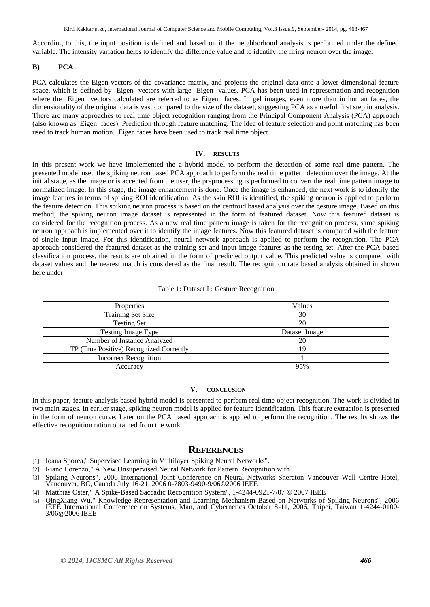According to this, the input position is defined and based on it the neighborhood analysis is performed under the defined variable. The intensity variation helps to identify the difference value and to identify the firing neuron over the image.

#### **B) PCA**

PCA calculates the Eigen vectors of the covariance matrix, and projects the original data onto a lower dimensional feature space, which is defined by Eigen vectors with large Eigen values. PCA has been used in representation and recognition where the Eigen vectors calculated are referred to as Eigen faces. In gel images, even more than in human faces, the dimensionality of the original data is vast compared to the size of the dataset, suggesting PCA as a useful first step in analysis. There are many approaches to real time object recognition ranging from the Principal Component Analysis (PCA) approach (also known as Eigen faces). Prediction through feature matching. The idea of feature selection and point matching has been used to track human motion. Eigen faces have been used to track real time object.

#### **IV. RESULTS**

In this present work we have implemented the a hybrid model to perform the detection of some real time pattern. The presented model used the spiking neuron based PCA approach to perform the real time pattern detection over the image. At the initial stage, as the image or is accepted from the user, the preprocessing is performed to convert the real time pattern image to normalized image. In this stage, the image enhancement is done. Once the image is enhanced, the next work is to identify the image features in terms of spiking ROI identification. As the skin ROI is identified, the spiking neuron is applied to perform the feature detection. This spiking neuron process is based on the centroid based analysis over the gesture image. Based on this method, the spiking neuron image dataset is represented in the form of featured dataset. Now this featured dataset is considered for the recognition process. As a new real time pattern image is taken for the recognition process, same spiking neuron approach is implemented over it to identify the image features. Now this featured dataset is compared with the feature of single input image. For this identification, neural network approach is applied to perform the recognition. The PCA approach considered the featured dataset as the training set and input image features as the testing set. After the PCA based classification process, the results are obtained in the form of predicted output value. This predicted value is compared with dataset values and the nearest match is considered as the final result. The recognition rate based analysis obtained in shown here under

|  |  |  |  | Table 1: Dataset I : Gesture Recognition |
|--|--|--|--|------------------------------------------|
|--|--|--|--|------------------------------------------|

| Properties                              | Values        |  |  |
|-----------------------------------------|---------------|--|--|
| <b>Training Set Size</b>                | 30            |  |  |
| <b>Testing Set</b>                      | 20            |  |  |
| <b>Testing Image Type</b>               | Dataset Image |  |  |
| Number of Instance Analyzed             | 20            |  |  |
| TP (True Positive) Recognized Correctly | 19            |  |  |
| <b>Incorrect Recognition</b>            |               |  |  |
| Accuracy                                | 95%           |  |  |

## **V. CONCLUSION**

In this paper, feature analysis based hybrid model is presented to perform real time object recognition. The work is divided in two main stages. In earlier stage, spiking neuron model is applied for feature identification. This feature extraction is presented in the form of neuron curve. Later on the PCA based approach is applied to perform the recognition. The results shows the effective recognition ration obtained from the work.

#### **REFERENCES**

- [1] Ioana Sporea," Supervised Learning in Multilayer Spiking Neural Networks".
- [2] Riano Lorenzo," A New Unsupervised Neural Network for Pattern Recognition with
- [3] Spiking Neurons", 2006 International Joint Conference on Neural Networks Sheraton Vancouver Wall Centre Hotel, Vancouver, BC, Canada July 16-21, 2006 0-7803-9490-9/06©2006 IEEE
- Matthias Oster," A Spike-Based Saccadic Recognition System", 1-4244-0921-7/07 © 2007 IEEE
- [5] QingXiang Wu," Knowledge Representation and Learning Mechanism Based on Networks of Spiking Neurons", 2006 IEEE International Conference on Systems, Man, and Cybernetics October 8-11, 2006, Taipei, Taiwan 1-4244-0100- 3/06@2006 IEEE